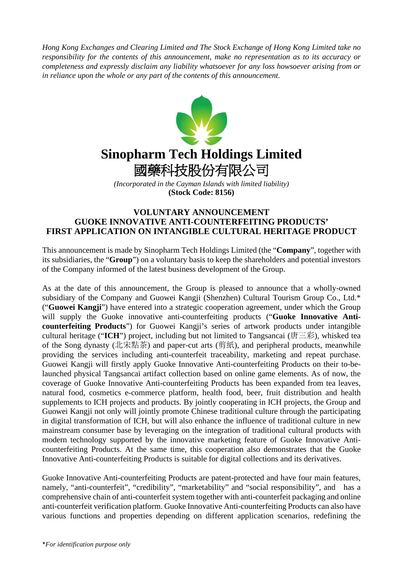*Hong Kong Exchanges and Clearing Limited and The Stock Exchange of Hong Kong Limited take no responsibility for the contents of this announcement, make no representation as to its accuracy or completeness and expressly disclaim any liability whatsoever for any loss howsoever arising from or in reliance upon the whole or any part of the contents of this announcement.*



*(Incorporated in the Cayman Islands with limited liability)* **(Stock Code: 8156)**

## **VOLUNTARY ANNOUNCEMENT GUOKE INNOVATIVE ANTI-COUNTERFEITING PRODUCTS' FIRST APPLICATION ON INTANGIBLE CULTURAL HERITAGE PRODUCT**

This announcement is made by Sinopharm Tech Holdings Limited (the "**Company**", together with its subsidiaries, the "**Group**") on a voluntary basis to keep the shareholders and potential investors of the Company informed of the latest business development of the Group.

As at the date of this announcement, the Group is pleased to announce that a wholly-owned subsidiary of the Company and Guowei Kangji (Shenzhen) Cultural Tourism Group Co., Ltd.\* ("**Guowei Kangji**") have entered into a strategic cooperation agreement, under which the Group will supply the Guoke innovative anti-counterfeiting products ("Guoke Innovative Anti**counterfeiting Products**") for Guowei Kangji's series of artwork products under intangible cultural heritage ("ICH") project, including but not limited to Tangsancai (唐三彩), whisked tea of the Song dynasty (北宋點茶) and paper-cut arts (剪紙), and peripheral products, meanwhile providing the services including anti-counterfeit traceability, marketing and repeat purchase. Guowei Kangji will firstly apply Guoke Innovative Anti-counterfeiting Products on their to-belaunched physical Tangsancai artifact collection based on online game elements. As of now, the coverage of Guoke Innovative Anti-counterfeiting Products has been expanded from tea leaves, natural food, cosmetics e-commerce platform, health food, beer, fruit distribution and health supplements to ICH projects and products. By jointly cooperating in ICH projects, the Group and Guowei Kangji not only will jointly promote Chinese traditional culture through the participating in digital transformation of ICH, but will also enhance the influence of traditional culture in new mainstream consumer base by leveraging on the integration of traditional cultural products with modern technology supported by the innovative marketing feature of Guoke Innovative Anticounterfeiting Products. At the same time, this cooperation also demonstrates that the Guoke Innovative Anti-counterfeiting Products is suitable for digital collections and its derivatives.

Guoke Innovative Anti-counterfeiting Products are patent-protected and have four main features, namely, "anti-counterfeit", "credibility", "marketability" and "social responsibility", and has a comprehensive chain of anti-counterfeit system together with anti-counterfeit packaging and online anti-counterfeit verification platform. Guoke Innovative Anti-counterfeiting Products can also have various functions and properties depending on different application scenarios, redefining the